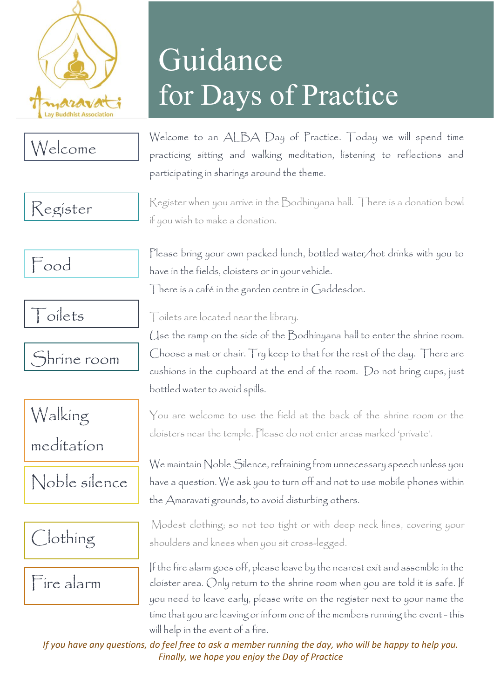

## Welcome

#### Register

Food







meditation

#### Noble silence

Clothing

Fire alarm

# Guidance for Days of Practice

Welcome to an ALBA Day of Practice. Today we will spend time practicing sitting and walking meditation, listening to reflections and participating in sharings around the theme.

Register when you arrive in the Bodhinyana hall. There is a donation bowl if you wish to make a donation.

Please bring your own packed lunch, bottled water/hot drinks with you to have in the fields, cloisters or in your vehicle. There is a café in the garden centre in Gaddesdon.

Toilets are located near the library.

Use the ramp on the side of the Bodhinyana hall to enter the shrine room. Choose a mat or chair. Try keep to that for the rest of the day. There are cushions in the cupboard at the end of the room. Do not bring cups, just bottled water to avoid spills.

You are welcome to use the field at the back of the shrine room or the cloisters near the temple. Please do not enter areas marked 'private'.

We maintain Noble Silence, refraining from unnecessary speech unless you have a question. We ask you to turn off and not to use mobile phones within the Amaravati grounds, to avoid disturbing others.

Modest clothing; so not too tight or with deep neck lines, covering your shoulders and knees when you sit cross-legged.

If the fire alarm goes off, please leave by the nearest exit and assemble in the cloister area. Only return to the shrine room when you are told it is safe. If you need to leave early, please write on the register next to your name the time that you are leaving or inform one of the members running the event -this will help in the event of a fire.

*If you have any questions, do feel free to ask a member running the day, who will be happy to help you. Finally, we hope you enjoy the Day of Practice*